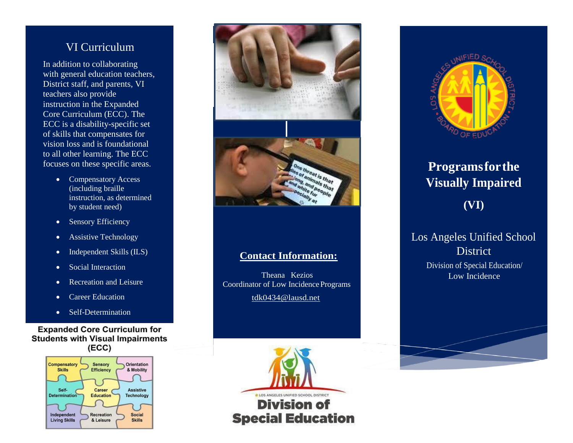### VI Curriculum

In addition to collaborating with general education teachers, District staff, and parents, VI teachers also provide instruction in the Expanded Core Curriculum (ECC). The ECC is a disability-specific set of skills that compensates for vision loss and is foundational to all other learning. The ECC focuses on these specific areas.

- Compensatory Access (including braille instruction, as determined by student need)
- Sensory Efficiency
- Assistive Technology
- Independent Skills (ILS)
- Social Interaction
- Recreation and Leisure
- Career Education
- Self-Determination

**Expanded Core Curriculum for Students with Visual Impairments**  $(ECC)$ 





#### **Contact Information:**

Theana Kezios Coordinator of Low Incidence Programs [tdk0434@lausd.net](mailto:tdk0434@lausd.net)





# **Programsforthe Visually Impaired (VI)**

#### Los Angeles Unified School **District** Division of Special Education/ Low Incidence